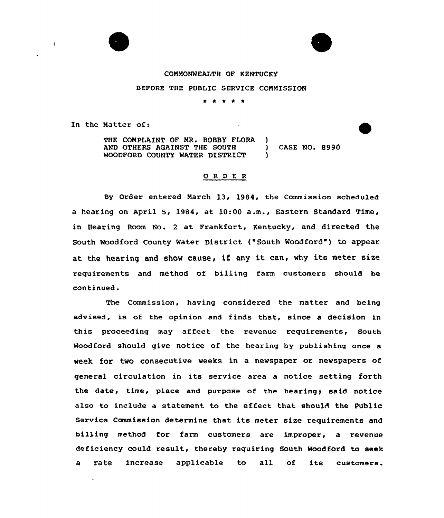

 $\ddot{z}$ 



## COMMONWEALTH OF KENTUCKY

BEFORE THE PUBLIC SERVICE COMMISSION

\* \* \* \* \*

In the Matter of:

THE COMPLAINT OF MR. BOBBY FLORA )<br>AND OTHERS AGAINST THE SOUTH AND OTHERS AGAINST THE SOUTH ) CASE NO. 8990 WOODFORD COUNTY WATER DISTRICT

## 0 <sup>R</sup> <sup>D</sup> E R

By Order entered March 13, 1984, the Commission scheduled a hearing on April 5, 1984, at 10:00 a.m., Eastern Standard Time, in Hearing Room No. 2 at Frankfort, Kentucky, and directed the South Woodford County Water District ("South Woodford") to appear at the hearing and show cause, if any it can, why its meter size requirements and me thod of bill ing farm customers should be continued.

The Commission, having considered the matter and being advised, is of the opinion and finds that, since a decision in this proceeding may affect the revenue requirements, South Woodford should give notice of the hearing by publishing once a week for two consecutive weeks in a newspaper or newspapers of general circulation in its service area a notice setting forth the date, time, place and purpose of the hearing, said notice also to include a statement to the effect that should the Public Service Commission determine that its meter size requirements and billing method for farm customers are improper, a revenue deficiency could result, thereby requiring South Woodford to seek <sup>a</sup> rate increase applicable to all of its customers.